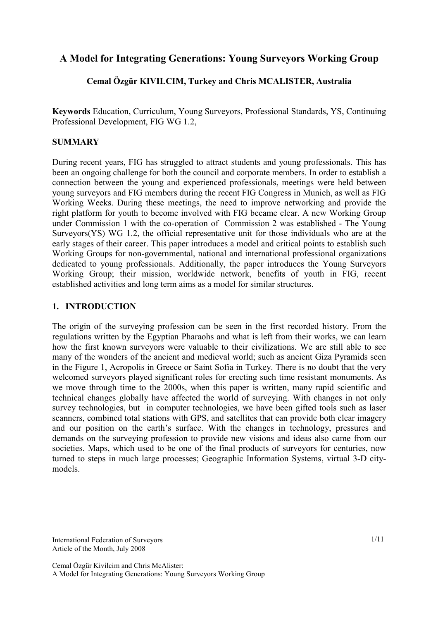# **A Model for Integrating Generations: Young Surveyors Working Group**

# **Cemal Özgür KIVILCIM, Turkey and Chris MCALISTER, Australia**

**Keywords** Education, Curriculum, Young Surveyors, Professional Standards, YS, Continuing Professional Development, FIG WG 1.2,

### **SUMMARY**

During recent years, FIG has struggled to attract students and young professionals. This has been an ongoing challenge for both the council and corporate members. In order to establish a connection between the young and experienced professionals, meetings were held between young surveyors and FIG members during the recent FIG Congress in Munich, as well as FIG Working Weeks. During these meetings, the need to improve networking and provide the right platform for youth to become involved with FIG became clear. A new Working Group under Commission 1 with the co-operation of Commission 2 was established - The Young Surveyors(YS) WG 1.2, the official representative unit for those individuals who are at the early stages of their career. This paper introduces a model and critical points to establish such Working Groups for non-governmental, national and international professional organizations dedicated to young professionals. Additionally, the paper introduces the Young Surveyors Working Group; their mission, worldwide network, benefits of youth in FIG, recent established activities and long term aims as a model for similar structures.

## **1. INTRODUCTION**

The origin of the surveying profession can be seen in the first recorded history. From the regulations written by the Egyptian Pharaohs and what is left from their works, we can learn how the first known surveyors were valuable to their civilizations. We are still able to see many of the wonders of the ancient and medieval world; such as ancient Giza Pyramids seen in the Figure 1, Acropolis in Greece or Saint Sofia in Turkey. There is no doubt that the very welcomed surveyors played significant roles for erecting such time resistant monuments. As we move through time to the 2000s, when this paper is written, many rapid scientific and technical changes globally have affected the world of surveying. With changes in not only survey technologies, but in computer technologies, we have been gifted tools such as laser scanners, combined total stations with GPS, and satellites that can provide both clear imagery and our position on the earth's surface. With the changes in technology, pressures and demands on the surveying profession to provide new visions and ideas also came from our societies. Maps, which used to be one of the final products of surveyors for centuries, now turned to steps in much large processes; Geographic Information Systems, virtual 3-D citymodels.

International Federation of Surveyors Article of the Month, July 2008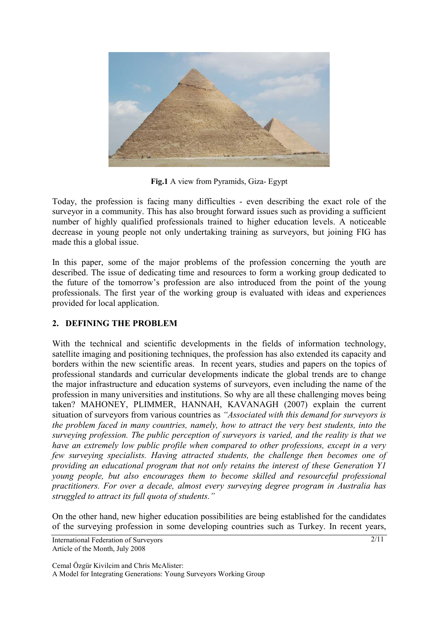

**Fig.1** A view from Pyramids, Giza- Egypt

Today, the profession is facing many difficulties - even describing the exact role of the surveyor in a community. This has also brought forward issues such as providing a sufficient number of highly qualified professionals trained to higher education levels. A noticeable decrease in young people not only undertaking training as surveyors, but joining FIG has made this a global issue.

In this paper, some of the major problems of the profession concerning the youth are described. The issue of dedicating time and resources to form a working group dedicated to the future of the tomorrow's profession are also introduced from the point of the young professionals. The first year of the working group is evaluated with ideas and experiences provided for local application.

# **2. DEFINING THE PROBLEM**

With the technical and scientific developments in the fields of information technology, satellite imaging and positioning techniques, the profession has also extended its capacity and borders within the new scientific areas. In recent years, studies and papers on the topics of professional standards and curricular developments indicate the global trends are to change the major infrastructure and education systems of surveyors, even including the name of the profession in many universities and institutions. So why are all these challenging moves being taken? MAHONEY, PLIMMER, HANNAH, KAVANAGH (2007) explain the current situation of surveyors from various countries as *"Associated with this demand for surveyors is the problem faced in many countries, namely, how to attract the very best students, into the surveying profession. The public perception of surveyors is varied, and the reality is that we have an extremely low public profile when compared to other professions, except in a very few surveying specialists. Having attracted students, the challenge then becomes one of providing an educational program that not only retains the interest of these Generation Y1 young people, but also encourages them to become skilled and resourceful professional practitioners. For over a decade, almost every surveying degree program in Australia has struggled to attract its full quota of students."* 

On the other hand, new higher education possibilities are being established for the candidates of the surveying profession in some developing countries such as Turkey. In recent years,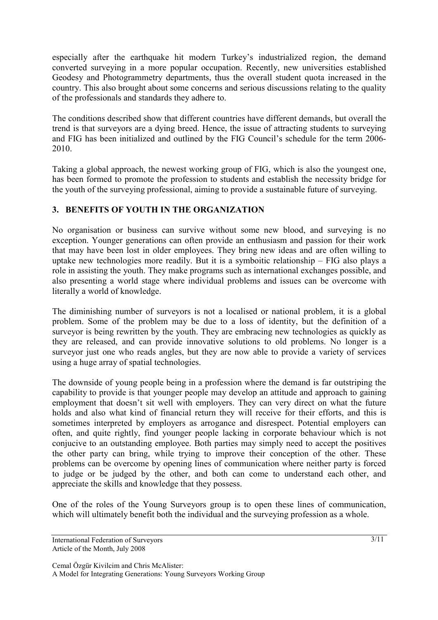especially after the earthquake hit modern Turkey's industrialized region, the demand converted surveying in a more popular occupation. Recently, new universities established Geodesy and Photogrammetry departments, thus the overall student quota increased in the country. This also brought about some concerns and serious discussions relating to the quality of the professionals and standards they adhere to.

The conditions described show that different countries have different demands, but overall the trend is that surveyors are a dying breed. Hence, the issue of attracting students to surveying and FIG has been initialized and outlined by the FIG Council's schedule for the term 2006- 2010.

Taking a global approach, the newest working group of FIG, which is also the youngest one, has been formed to promote the profession to students and establish the necessity bridge for the youth of the surveying professional, aiming to provide a sustainable future of surveying.

### **3. BENEFITS OF YOUTH IN THE ORGANIZATION**

No organisation or business can survive without some new blood, and surveying is no exception. Younger generations can often provide an enthusiasm and passion for their work that may have been lost in older employees. They bring new ideas and are often willing to uptake new technologies more readily. But it is a symboitic relationship – FIG also plays a role in assisting the youth. They make programs such as international exchanges possible, and also presenting a world stage where individual problems and issues can be overcome with literally a world of knowledge.

The diminishing number of surveyors is not a localised or national problem, it is a global problem. Some of the problem may be due to a loss of identity, but the definition of a surveyor is being rewritten by the youth. They are embracing new technologies as quickly as they are released, and can provide innovative solutions to old problems. No longer is a surveyor just one who reads angles, but they are now able to provide a variety of services using a huge array of spatial technologies.

The downside of young people being in a profession where the demand is far outstriping the capability to provide is that younger people may develop an attitude and approach to gaining employment that doesn't sit well with employers. They can very direct on what the future holds and also what kind of financial return they will receive for their efforts, and this is sometimes interpreted by employers as arrogance and disrespect. Potential employers can often, and quite rightly, find younger people lacking in corporate behaviour which is not conjucive to an outstanding employee. Both parties may simply need to accept the positives the other party can bring, while trying to improve their conception of the other. These problems can be overcome by opening lines of communication where neither party is forced to judge or be judged by the other, and both can come to understand each other, and appreciate the skills and knowledge that they possess.

One of the roles of the Young Surveyors group is to open these lines of communication, which will ultimately benefit both the individual and the surveying profession as a whole.

Cemal Özgür Kivilcim and Chris McAlister: A Model for Integrating Generations: Young Surveyors Working Group

International Federation of Surveyors Article of the Month, July 2008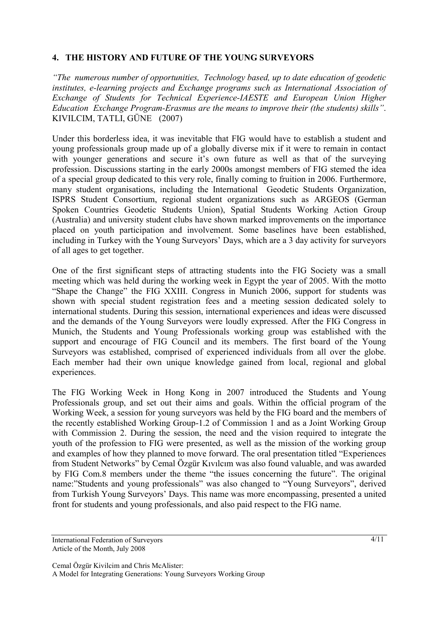### **4. THE HISTORY AND FUTURE OF THE YOUNG SURVEYORS**

*"The numerous number of opportunities, Technology based, up to date education of geodetic institutes, e-learning projects and Exchange programs such as International Association of Exchange of Students for Technical Experience-IAESTE and European Union Higher Education Exchange Program-Erasmus are the means to improve their (the students) skills"*. KIVILCIM, TATLI, GÜNE (2007)

Under this borderless idea, it was inevitable that FIG would have to establish a student and young professionals group made up of a globally diverse mix if it were to remain in contact with younger generations and secure it's own future as well as that of the surveying profession. Discussions starting in the early 2000s amongst members of FIG stemed the idea of a special group dedicated to this very role, finally coming to fruition in 2006. Furthermore, many student organisations, including the International Geodetic Students Organization, ISPRS Student Consortium, regional student organizations such as ARGEOS (German Spoken Countries Geodetic Students Union), Spatial Students Working Action Group (Australia) and university student clubs have shown marked improvements on the importance placed on youth participation and involvement. Some baselines have been established, including in Turkey with the Young Surveyors' Days, which are a 3 day activity for surveyors of all ages to get together.

One of the first significant steps of attracting students into the FIG Society was a small meeting which was held during the working week in Egypt the year of 2005. With the motto "Shape the Change" the FIG XXIII. Congress in Munich 2006, support for students was shown with special student registration fees and a meeting session dedicated solely to international students. During this session, international experiences and ideas were discussed and the demands of the Young Surveyors were loudly expressed. After the FIG Congress in Munich, the Students and Young Professionals working group was established with the support and encourage of FIG Council and its members. The first board of the Young Surveyors was established, comprised of experienced individuals from all over the globe. Each member had their own unique knowledge gained from local, regional and global experiences.

The FIG Working Week in Hong Kong in 2007 introduced the Students and Young Professionals group, and set out their aims and goals. Within the official program of the Working Week, a session for young surveyors was held by the FIG board and the members of the recently established Working Group-1.2 of Commission 1 and as a Joint Working Group with Commission 2. During the session, the need and the vision required to integrate the youth of the profession to FIG were presented, as well as the mission of the working group and examples of how they planned to move forward. The oral presentation titled "Experiences from Student Networks" by Cemal Özgür Kıvılcım was also found valuable, and was awarded by FIG Com.8 members under the theme "the issues concerning the future". The original name:"Students and young professionals" was also changed to "Young Surveyors", derived from Turkish Young Surveyors' Days. This name was more encompassing, presented a united front for students and young professionals, and also paid respect to the FIG name.

International Federation of Surveyors Article of the Month, July 2008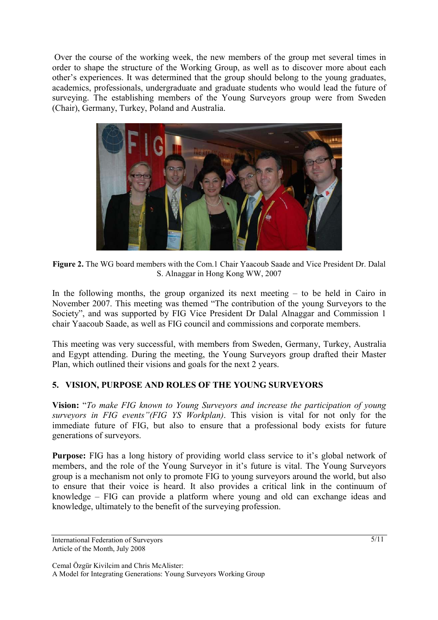Over the course of the working week, the new members of the group met several times in order to shape the structure of the Working Group, as well as to discover more about each other's experiences. It was determined that the group should belong to the young graduates, academics, professionals, undergraduate and graduate students who would lead the future of surveying. The establishing members of the Young Surveyors group were from Sweden (Chair), Germany, Turkey, Poland and Australia.



**Figure 2.** The WG board members with the Com.1 Chair Yaacoub Saade and Vice President Dr. Dalal S. Alnaggar in Hong Kong WW, 2007

In the following months, the group organized its next meeting  $-$  to be held in Cairo in November 2007. This meeting was themed "The contribution of the young Surveyors to the Society", and was supported by FIG Vice President Dr Dalal Alnaggar and Commission 1 chair Yaacoub Saade, as well as FIG council and commissions and corporate members.

This meeting was very successful, with members from Sweden, Germany, Turkey, Australia and Egypt attending. During the meeting, the Young Surveyors group drafted their Master Plan, which outlined their visions and goals for the next 2 years.

# **5. VISION, PURPOSE AND ROLES OF THE YOUNG SURVEYORS**

**Vision:** "*To make FIG known to Young Surveyors and increase the participation of young surveyors in FIG events"(FIG YS Workplan)*. This vision is vital for not only for the immediate future of FIG, but also to ensure that a professional body exists for future generations of surveyors.

**Purpose:** FIG has a long history of providing world class service to it's global network of members, and the role of the Young Surveyor in it's future is vital. The Young Surveyors group is a mechanism not only to promote FIG to young surveyors around the world, but also to ensure that their voice is heard. It also provides a critical link in the continuum of knowledge – FIG can provide a platform where young and old can exchange ideas and knowledge, ultimately to the benefit of the surveying profession.

International Federation of Surveyors Article of the Month, July 2008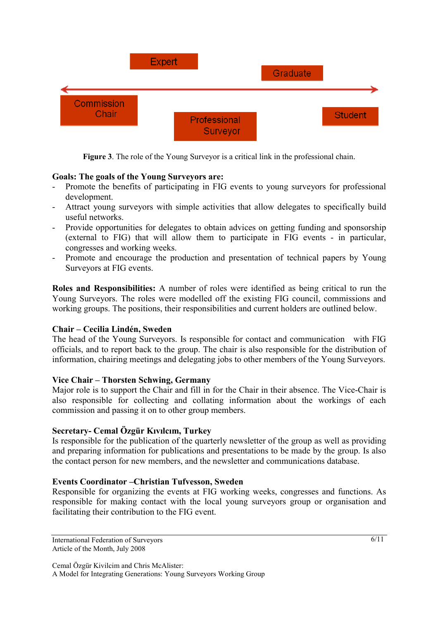|                            | <b>Expert</b> |                          | Graduate |                |
|----------------------------|---------------|--------------------------|----------|----------------|
| <b>Commission</b><br>Chair |               | Professional<br>Surveyor |          | <b>Student</b> |

**Figure 3**. The role of the Young Surveyor is a critical link in the professional chain.

### **Goals: The goals of the Young Surveyors are:**

- Promote the benefits of participating in FIG events to young surveyors for professional development.
- Attract young surveyors with simple activities that allow delegates to specifically build useful networks.
- Provide opportunities for delegates to obtain advices on getting funding and sponsorship (external to FIG) that will allow them to participate in FIG events - in particular, congresses and working weeks.
- Promote and encourage the production and presentation of technical papers by Young Surveyors at FIG events.

**Roles and Responsibilities:** A number of roles were identified as being critical to run the Young Surveyors. The roles were modelled off the existing FIG council, commissions and working groups. The positions, their responsibilities and current holders are outlined below.

#### **Chair – Cecilia Lindén, Sweden**

The head of the Young Surveyors. Is responsible for contact and communication with FIG officials, and to report back to the group. The chair is also responsible for the distribution of information, chairing meetings and delegating jobs to other members of the Young Surveyors.

#### **Vice Chair – Thorsten Schwing, Germany**

Major role is to support the Chair and fill in for the Chair in their absence. The Vice-Chair is also responsible for collecting and collating information about the workings of each commission and passing it on to other group members.

#### **Secretary- Cemal Özgür Kıvılcım, Turkey**

Is responsible for the publication of the quarterly newsletter of the group as well as providing and preparing information for publications and presentations to be made by the group. Is also the contact person for new members, and the newsletter and communications database.

#### **Events Coordinator –Christian Tufvesson, Sweden**

Responsible for organizing the events at FIG working weeks, congresses and functions. As responsible for making contact with the local young surveyors group or organisation and facilitating their contribution to the FIG event.

International Federation of Surveyors Article of the Month, July 2008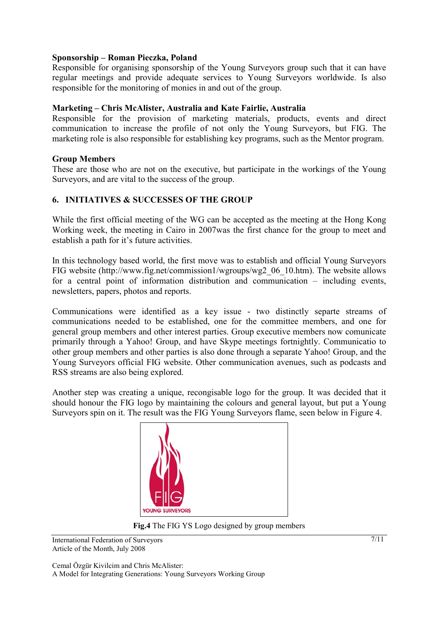#### **Sponsorship – Roman Pieczka, Poland**

Responsible for organising sponsorship of the Young Surveyors group such that it can have regular meetings and provide adequate services to Young Surveyors worldwide. Is also responsible for the monitoring of monies in and out of the group.

#### **Marketing – Chris McAlister, Australia and Kate Fairlie, Australia**

Responsible for the provision of marketing materials, products, events and direct communication to increase the profile of not only the Young Surveyors, but FIG. The marketing role is also responsible for establishing key programs, such as the Mentor program.

#### **Group Members**

These are those who are not on the executive, but participate in the workings of the Young Surveyors, and are vital to the success of the group.

#### **6. INITIATIVES & SUCCESSES OF THE GROUP**

While the first official meeting of the WG can be accepted as the meeting at the Hong Kong Working week, the meeting in Cairo in 2007was the first chance for the group to meet and establish a path for it's future activities.

In this technology based world, the first move was to establish and official Young Surveyors FIG website (http://www.fig.net/commission1/wgroups/wg2\_06\_10.htm). The website allows for a central point of information distribution and communication – including events, newsletters, papers, photos and reports.

Communications were identified as a key issue - two distinctly separte streams of communications needed to be established, one for the committee members, and one for general group members and other interest parties. Group executive members now comunicate primarily through a Yahoo! Group, and have Skype meetings fortnightly. Communicatio to other group members and other parties is also done through a separate Yahoo! Group, and the Young Surveyors official FIG website. Other communication avenues, such as podcasts and RSS streams are also being explored.

Another step was creating a unique, recongisable logo for the group. It was decided that it should honour the FIG logo by maintaining the colours and general layout, but put a Young Surveyors spin on it. The result was the FIG Young Surveyors flame, seen below in Figure 4.



**Fig.4** The FIG YS Logo designed by group members

International Federation of Surveyors Article of the Month, July 2008

Cemal Özgür Kivilcim and Chris McAlister: A Model for Integrating Generations: Young Surveyors Working Group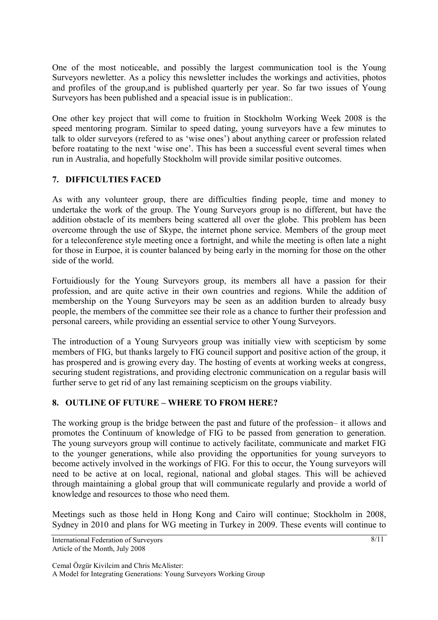One of the most noticeable, and possibly the largest communication tool is the Young Surveyors newletter. As a policy this newsletter includes the workings and activities, photos and profiles of the group,and is published quarterly per year. So far two issues of Young Surveyors has been published and a speacial issue is in publication:.

One other key project that will come to fruition in Stockholm Working Week 2008 is the speed mentoring program. Similar to speed dating, young surveyors have a few minutes to talk to older surveyors (refered to as 'wise ones') about anything career or profession related before roatating to the next 'wise one'. This has been a successful event several times when run in Australia, and hopefully Stockholm will provide similar positive outcomes.

# **7. DIFFICULTIES FACED**

As with any volunteer group, there are difficulties finding people, time and money to undertake the work of the group. The Young Surveyors group is no different, but have the addition obstacle of its members being scattered all over the globe. This problem has been overcome through the use of Skype, the internet phone service. Members of the group meet for a teleconference style meeting once a fortnight, and while the meeting is often late a night for those in Eurpoe, it is counter balanced by being early in the morning for those on the other side of the world.

Fortuidiously for the Young Surveyors group, its members all have a passion for their profession, and are quite active in their own countries and regions. While the addition of membership on the Young Surveyors may be seen as an addition burden to already busy people, the members of the committee see their role as a chance to further their profession and personal careers, while providing an essential service to other Young Surveyors.

The introduction of a Young Survyeors group was initially view with scepticism by some members of FIG, but thanks largely to FIG council support and positive action of the group, it has prospered and is growing every day. The hosting of events at working weeks at congress, securing student registrations, and providing electronic communication on a regular basis will further serve to get rid of any last remaining scepticism on the groups viability.

# **8. OUTLINE OF FUTURE – WHERE TO FROM HERE?**

The working group is the bridge between the past and future of the profession– it allows and promotes the Continuum of knowledge of FIG to be passed from generation to generation. The young surveyors group will continue to actively facilitate, communicate and market FIG to the younger generations, while also providing the opportunities for young surveyors to become actively involved in the workings of FIG. For this to occur, the Young surveyors will need to be active at on local, regional, national and global stages. This will be achieved through maintaining a global group that will communicate regularly and provide a world of knowledge and resources to those who need them.

Meetings such as those held in Hong Kong and Cairo will continue; Stockholm in 2008, Sydney in 2010 and plans for WG meeting in Turkey in 2009. These events will continue to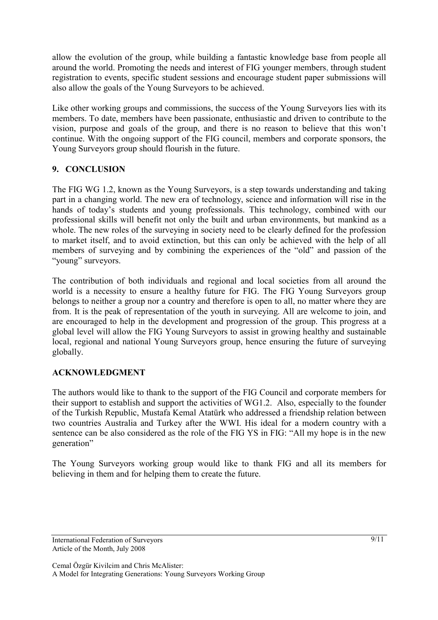allow the evolution of the group, while building a fantastic knowledge base from people all around the world. Promoting the needs and interest of FIG younger members, through student registration to events, specific student sessions and encourage student paper submissions will also allow the goals of the Young Surveyors to be achieved.

Like other working groups and commissions, the success of the Young Surveyors lies with its members. To date, members have been passionate, enthusiastic and driven to contribute to the vision, purpose and goals of the group, and there is no reason to believe that this won't continue. With the ongoing support of the FIG council, members and corporate sponsors, the Young Surveyors group should flourish in the future.

### **9. CONCLUSION**

The FIG WG 1.2, known as the Young Surveyors, is a step towards understanding and taking part in a changing world. The new era of technology, science and information will rise in the hands of today's students and young professionals. This technology, combined with our professional skills will benefit not only the built and urban environments, but mankind as a whole. The new roles of the surveying in society need to be clearly defined for the profession to market itself, and to avoid extinction, but this can only be achieved with the help of all members of surveying and by combining the experiences of the "old" and passion of the "young" surveyors.

The contribution of both individuals and regional and local societies from all around the world is a necessity to ensure a healthy future for FIG. The FIG Young Surveyors group belongs to neither a group nor a country and therefore is open to all, no matter where they are from. It is the peak of representation of the youth in surveying. All are welcome to join, and are encouraged to help in the development and progression of the group. This progress at a global level will allow the FIG Young Surveyors to assist in growing healthy and sustainable local, regional and national Young Surveyors group, hence ensuring the future of surveying globally.

# **ACKNOWLEDGMENT**

The authors would like to thank to the support of the FIG Council and corporate members for their support to establish and support the activities of WG1.2. Also, especially to the founder of the Turkish Republic, Mustafa Kemal Atatürk who addressed a friendship relation between two countries Australia and Turkey after the WWI. His ideal for a modern country with a sentence can be also considered as the role of the FIG YS in FIG: "All my hope is in the new generation"

The Young Surveyors working group would like to thank FIG and all its members for believing in them and for helping them to create the future.

International Federation of Surveyors Article of the Month, July 2008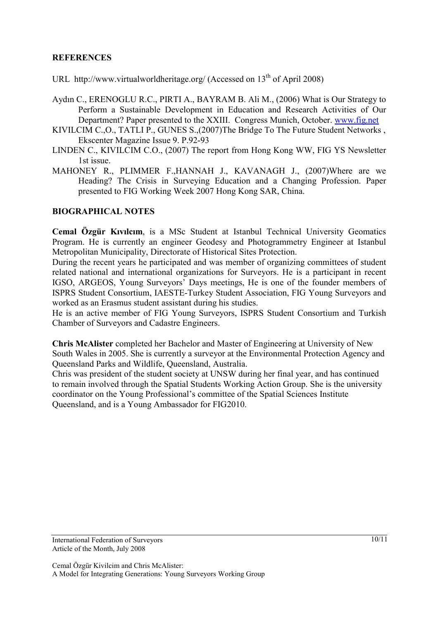### **REFERENCES**

- URL http://www.virtualworldheritage.org/ (Accessed on 13<sup>th</sup> of April 2008)
- Aydın C., ERENOGLU R.C., PIRTI A., BAYRAM B. Ali M., (2006) What is Our Strategy to Perform a Sustainable Development in Education and Research Activities of Our Department? Paper presented to the XXIII. Congress Munich, October. www.fig.net
- KIVILCIM C.,O., TATLI P., GUNES S.,(2007)The Bridge To The Future Student Networks , Ekscenter Magazine Issue 9. P.92-93
- LINDEN C., KIVILCIM C.O., (2007) The report from Hong Kong WW, FIG YS Newsletter 1st issue.
- MAHONEY R., PLIMMER F.,HANNAH J., KAVANAGH J., (2007)Where are we Heading? The Crisis in Surveying Education and a Changing Profession. Paper presented to FIG Working Week 2007 Hong Kong SAR, China.

### **BIOGRAPHICAL NOTES**

**Cemal Özgür Kıvılcım**, is a MSc Student at Istanbul Technical University Geomatics Program. He is currently an engineer Geodesy and Photogrammetry Engineer at Istanbul Metropolitan Municipality, Directorate of Historical Sites Protection.

During the recent years he participated and was member of organizing committees of student related national and international organizations for Surveyors. He is a participant in recent IGSO, ARGEOS, Young Surveyors' Days meetings, He is one of the founder members of ISPRS Student Consortium, IAESTE-Turkey Student Association, FIG Young Surveyors and worked as an Erasmus student assistant during his studies.

He is an active member of FIG Young Surveyors, ISPRS Student Consortium and Turkish Chamber of Surveyors and Cadastre Engineers.

**Chris McAlister** completed her Bachelor and Master of Engineering at University of New South Wales in 2005. She is currently a surveyor at the Environmental Protection Agency and Queensland Parks and Wildlife, Queensland, Australia.

Chris was president of the student society at UNSW during her final year, and has continued to remain involved through the Spatial Students Working Action Group. She is the university coordinator on the Young Professional's committee of the Spatial Sciences Institute Queensland, and is a Young Ambassador for FIG2010.